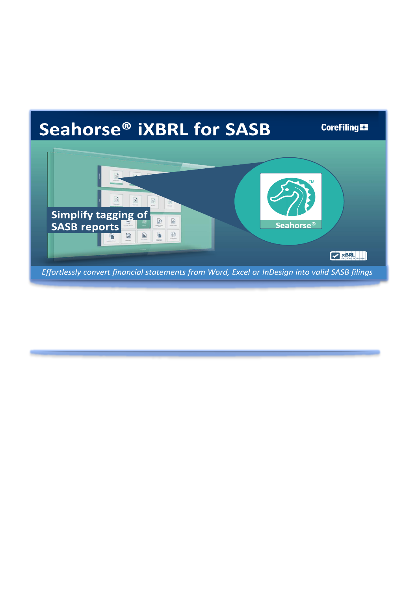## Seahorse® iXBRL for SASB **CoreFiling E2**  $\odot$  $\odot$ Simplify tagging of  $\frac{1}{20}$  $\bullet$ **SASB reports** Seahorse<sup>®</sup>  $\circledcirc$ f.  $\vec{\text{h}}$ 词 ŧ

Effortlessly convert financial statements from Word, Excel or InDesign into valid SASB filings

**Expertise Setware**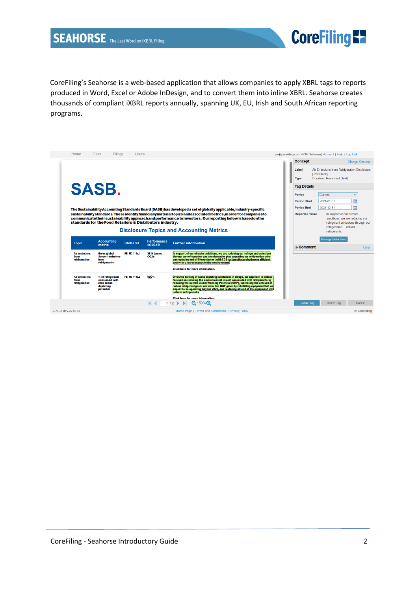

CoreFiling's Seahorse is a web-based application that allows companies to apply XBRL tags to reports produced in Word, Excel or Adobe InDesign, and to convert them into inline XBRL. Seahorse creates thousands of compliant iXBRL reports annually, spanning UK, EU, Irish and South African reporting programs.

| <b>Concept</b><br>Air Emissions from Refrigeration Disclosure<br>Label<br>[Text Block]<br>Duration / Restricted (Text)<br><b>Type</b><br><b>SASB.</b><br><b>Tag Details</b><br>Current<br>Period<br>$\checkmark$<br>霝<br>2021-01-01<br><b>Period Start</b><br>m<br>2021-12-31<br><b>Period End</b><br>The Sustainability Accounting Standards Board (SASB) has developed a set of globally applicable, industry-specific<br>sustainability standards. These identify financially material topics and associated metrics, in order for companies to<br><b>Reported Value</b><br>In support of our climate<br>communicate their sustainability approach and performance to investors. Our reporting below is based on the<br>ambitions, we are reducing our<br>standards for the Food Retailers & Distributors industry.<br>refrigerant emissions through our<br>refrigeration  natural<br><b>Disclosure Topics and Accounting Metrics</b><br>refrigerants.<br><b>Manage Selections</b><br><b>Accounting</b><br><b>Performance</b><br><b>SASB</b> ref<br><b>Further information</b><br><b>Topic</b><br>2020/21<br>metric<br>$\blacktriangleright$ Comment<br>FB-FR-110b.1<br>In support of our climate ambitions, we are reducing our refrigerant emissions<br><b>Air emissions</b><br>361k tonnes<br><b>Gross global</b><br>through our refrigeration gas transformation plan, upgrading our refrigeration units<br>Scope 1 emissions<br>CO2e<br>from<br>andreplacing end-of-life equipment with CO2 systems that are both more efficient<br>refrigeration<br>from<br>refrigerants<br>and with a lower impact to the environment.<br><b>Click here for more information.</b><br>100%<br>FB-FR-110b.2<br>Given the banning of ozone-depleting substances in Europe, our approach is instead<br><b>Air emissions</b><br>% of refrigerants<br>focused on reducing the environmental impact associated with refrigerants by<br>consumed with<br>from<br>reducing the overall Global Warming Potential (GWP), increasing the amount of<br>refrigeration<br>zero ozone-<br>natural refrigerant gases and other low GWP gases by retrofitting equipment that we<br>depleting<br>expect to be operating beyond 2025, and replacing all end of life equipment with<br>potential<br>natural refrigerants. | Home | <b>Filers</b><br>Filings | <b>Users</b> |                                         |  | isv@corefiling.com (PTP Software) Account   Help   Log Out |                       |
|------------------------------------------------------------------------------------------------------------------------------------------------------------------------------------------------------------------------------------------------------------------------------------------------------------------------------------------------------------------------------------------------------------------------------------------------------------------------------------------------------------------------------------------------------------------------------------------------------------------------------------------------------------------------------------------------------------------------------------------------------------------------------------------------------------------------------------------------------------------------------------------------------------------------------------------------------------------------------------------------------------------------------------------------------------------------------------------------------------------------------------------------------------------------------------------------------------------------------------------------------------------------------------------------------------------------------------------------------------------------------------------------------------------------------------------------------------------------------------------------------------------------------------------------------------------------------------------------------------------------------------------------------------------------------------------------------------------------------------------------------------------------------------------------------------------------------------------------------------------------------------------------------------------------------------------------------------------------------------------------------------------------------------------------------------------------------------------------------------------------------------------------------------------------------------------------------------------------------------------------------------------------------------------------|------|--------------------------|--------------|-----------------------------------------|--|------------------------------------------------------------|-----------------------|
|                                                                                                                                                                                                                                                                                                                                                                                                                                                                                                                                                                                                                                                                                                                                                                                                                                                                                                                                                                                                                                                                                                                                                                                                                                                                                                                                                                                                                                                                                                                                                                                                                                                                                                                                                                                                                                                                                                                                                                                                                                                                                                                                                                                                                                                                                                |      |                          |              |                                         |  |                                                            | <b>Change Concept</b> |
|                                                                                                                                                                                                                                                                                                                                                                                                                                                                                                                                                                                                                                                                                                                                                                                                                                                                                                                                                                                                                                                                                                                                                                                                                                                                                                                                                                                                                                                                                                                                                                                                                                                                                                                                                                                                                                                                                                                                                                                                                                                                                                                                                                                                                                                                                                |      |                          |              |                                         |  |                                                            |                       |
|                                                                                                                                                                                                                                                                                                                                                                                                                                                                                                                                                                                                                                                                                                                                                                                                                                                                                                                                                                                                                                                                                                                                                                                                                                                                                                                                                                                                                                                                                                                                                                                                                                                                                                                                                                                                                                                                                                                                                                                                                                                                                                                                                                                                                                                                                                |      |                          |              |                                         |  |                                                            |                       |
|                                                                                                                                                                                                                                                                                                                                                                                                                                                                                                                                                                                                                                                                                                                                                                                                                                                                                                                                                                                                                                                                                                                                                                                                                                                                                                                                                                                                                                                                                                                                                                                                                                                                                                                                                                                                                                                                                                                                                                                                                                                                                                                                                                                                                                                                                                |      |                          |              |                                         |  |                                                            |                       |
|                                                                                                                                                                                                                                                                                                                                                                                                                                                                                                                                                                                                                                                                                                                                                                                                                                                                                                                                                                                                                                                                                                                                                                                                                                                                                                                                                                                                                                                                                                                                                                                                                                                                                                                                                                                                                                                                                                                                                                                                                                                                                                                                                                                                                                                                                                |      |                          |              |                                         |  |                                                            |                       |
|                                                                                                                                                                                                                                                                                                                                                                                                                                                                                                                                                                                                                                                                                                                                                                                                                                                                                                                                                                                                                                                                                                                                                                                                                                                                                                                                                                                                                                                                                                                                                                                                                                                                                                                                                                                                                                                                                                                                                                                                                                                                                                                                                                                                                                                                                                |      |                          |              |                                         |  |                                                            |                       |
|                                                                                                                                                                                                                                                                                                                                                                                                                                                                                                                                                                                                                                                                                                                                                                                                                                                                                                                                                                                                                                                                                                                                                                                                                                                                                                                                                                                                                                                                                                                                                                                                                                                                                                                                                                                                                                                                                                                                                                                                                                                                                                                                                                                                                                                                                                |      |                          |              |                                         |  |                                                            | Clear                 |
|                                                                                                                                                                                                                                                                                                                                                                                                                                                                                                                                                                                                                                                                                                                                                                                                                                                                                                                                                                                                                                                                                                                                                                                                                                                                                                                                                                                                                                                                                                                                                                                                                                                                                                                                                                                                                                                                                                                                                                                                                                                                                                                                                                                                                                                                                                |      |                          |              |                                         |  |                                                            |                       |
|                                                                                                                                                                                                                                                                                                                                                                                                                                                                                                                                                                                                                                                                                                                                                                                                                                                                                                                                                                                                                                                                                                                                                                                                                                                                                                                                                                                                                                                                                                                                                                                                                                                                                                                                                                                                                                                                                                                                                                                                                                                                                                                                                                                                                                                                                                |      |                          |              |                                         |  |                                                            |                       |
| $1/2$ $\blacksquare$ $\blacksquare$ $150\%$ $\blacksquare$<br>$\leq$<br>Delete Tag<br>Cancel<br>Update Tag                                                                                                                                                                                                                                                                                                                                                                                                                                                                                                                                                                                                                                                                                                                                                                                                                                                                                                                                                                                                                                                                                                                                                                                                                                                                                                                                                                                                                                                                                                                                                                                                                                                                                                                                                                                                                                                                                                                                                                                                                                                                                                                                                                                     |      |                          |              | <b>Click here for more information.</b> |  |                                                            |                       |
| Home Page   Terms and Conditions   Privacy Policy<br>1.71.0-dev.274019                                                                                                                                                                                                                                                                                                                                                                                                                                                                                                                                                                                                                                                                                                                                                                                                                                                                                                                                                                                                                                                                                                                                                                                                                                                                                                                                                                                                                                                                                                                                                                                                                                                                                                                                                                                                                                                                                                                                                                                                                                                                                                                                                                                                                         |      |                          |              |                                         |  |                                                            | C CoreFiling          |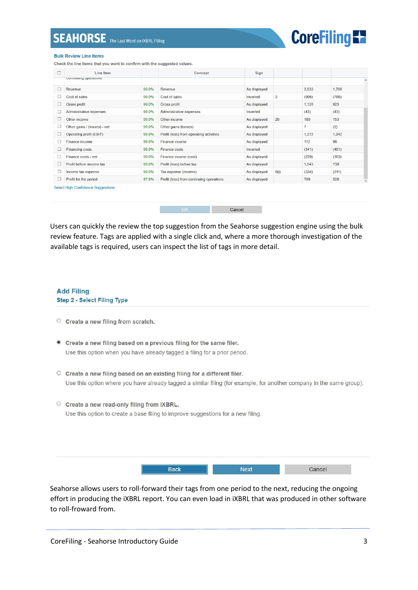

## **Bulk Review Line Items**

Check the line items that you want to confirm with the suggested values.

| Line Item                    |       | Concept                                  | Sign         |                |                |       |              |
|------------------------------|-------|------------------------------------------|--------------|----------------|----------------|-------|--------------|
| Community operations         |       |                                          |              |                |                |       |              |
| Revenue                      | 99.0% | Revenue                                  | As displayed |                | 2,033          | 1,708 |              |
| Cost of sales                | 99.0% | Cost of sales                            | Inverted     | $\overline{2}$ | (905)          | (785) |              |
| Gross profit                 | 99.0% | Gross profit                             | As displayed |                | 1,128          | 923   |              |
| Administrative expenses      | 99.0% | Administrative expenses                  | Inverted     |                | (43)           | (43)  |              |
| Other income                 | 99.0% | Other income                             | As displayed | 26             | 180            | 153   |              |
| Other gains / (losses) - net | 99.0% | Other gains (losses)                     | As displayed |                | $\overline{7}$ | (2)   |              |
| Operating profit (EBIT)      | 99.0% | Profit (loss) from operating activities  | As displayed |                | 1,272          | 1,042 |              |
| Finance income               | 99.0% | Finance income                           | As displayed |                | 112            | 98    |              |
| Financing costs              | 99.0% | Finance costs                            | Inverted     |                | (341)          | (401) |              |
| Finance costs - net          | 99.0% | Finance income (cost)                    | As displayed |                | (229)          | (303) |              |
| Profit before income tax     | 99.0% | Profit (loss) before tax                 | As displayed |                | 1,043          | 739   |              |
| Income tax expense           | 99.0% | Tax expense (income)                     | As displayed | 8(i)           | (334)          | (211) |              |
| Profit for the period        | 87.8% | Profit (loss) from continuing operations | As displayed |                | 709            | 528   | $\checkmark$ |



Users can quickly the review the top suggestion from the Seahorse suggestion engine using the bulk review feature. Tags are applied with a single click and, where a more thorough investigation of the available tags is required, users can inspect the list of tags in more detail.

## **Add Filing** Step 2 - Select Filing Type

- O Create a new filing from scratch.
- Create a new filing based on a previous filing for the same filer. Use this option when you have already tagged a filing for a prior period.
- O Create a new filing based on an existing filing for a different filer. Use this option where you have already tagged a similar filing (for example, for another company in the same group).
- $\circ$  Create a new read-only filing from iXBRL. Use this option to create a base filing to improve suggestions for a new filing.

Seahorse allows users to roll-forward their tags from one period to the next, reducing the ongoing effort in producing the iXBRL report. You can even load in iXBRL that was produced in other software to roll-froward from.